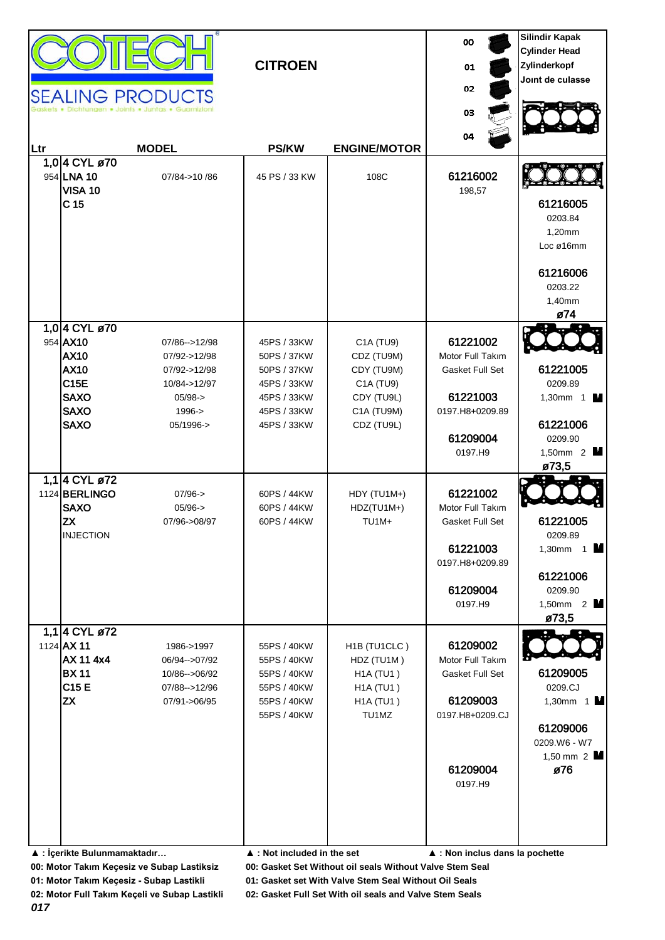| 1,0 4 CYL ø70<br>954 AX10<br>61221002<br>45PS / 33KW<br>C1A (TU9)<br>07/86 -- > 12/98<br><b>AX10</b><br>Motor Full Takım<br>50PS / 37KW<br>CDZ (TU9M)<br>07/92->12/98<br><b>AX10</b><br>07/92->12/98<br>CDY (TU9M)<br>Gasket Full Set<br>50PS / 37KW<br><b>C15E</b><br>10/84->12/97<br>45PS / 33KW<br>C1A (TU9)<br><b>SAXO</b><br>61221003<br>$05/98 -$<br>45PS / 33KW<br>CDY (TU9L)<br><b>SAXO</b><br>$1996 - >$<br>45PS / 33KW<br>C1A (TU9M)<br>0197.H8+0209.89<br><b>SAXO</b><br>05/1996-><br>45PS / 33KW<br>CDZ (TU9L)<br>61209004<br>0197.H9<br>ø73,5<br>1,1 4 CYL ø72<br>1124 BERLINGO<br>61221002<br>$07/96 - >$<br>60PS / 44KW<br>HDY (TU1M+)<br><b>SAXO</b><br>$05/96 - >$<br>60PS / 44KW<br>HDZ(TU1M+)<br>Motor Full Takım<br><b>ZX</b><br>60PS / 44KW<br>TU <sub>1M+</sub><br>07/96->08/97<br>Gasket Full Set<br><b>INJECTION</b><br>61221003<br>0197.H8+0209.89<br>61209004<br>0197.H9<br>1,1 4 CYL ø72<br>1124 AX 11<br>61209002<br>1986->1997<br>55PS / 40KW<br>H <sub>1</sub> B (TU <sub>1</sub> CLC)<br>AX 11 4x4<br>HDZ (TU1M)<br>Motor Full Takım<br>06/94 -- > 07/92<br>55PS / 40KW<br><b>BX11</b><br>H1A (TU1)<br>Gasket Full Set<br>10/86-->06/92<br>55PS / 40KW<br>C15 E<br>07/88 -- > 12/96<br>55PS / 40KW<br><b>H1A (TU1)</b><br><b>ZX</b><br>61209003<br><b>H1A (TU1)</b><br>07/91->06/95<br>55PS / 40KW<br>55PS / 40KW<br>TU1MZ<br>0197.H8+0209.CJ | Ltr | 1,0 4 CYL ø70<br>954 LNA 10<br><b>VISA 10</b><br>C <sub>15</sub> | <b>SEALING PRODUCTS</b><br><b>MODEL</b><br>07/84->10 /86 | <b>CITROEN</b><br><b>PS/KW</b><br>45 PS / 33 KW | <b>ENGINE/MOTOR</b><br>108C | 00<br>01<br>02<br>03<br>04<br>61216002<br>198,57 | <b>Silindir Kapak</b><br><b>Cylinder Head</b><br>Zylinderkopf<br>Joint de culasse<br>61216005<br>0203.84<br>1,20mm<br>Loc ø16mm<br>61216006<br>0203.22<br>1,40mm |
|------------------------------------------------------------------------------------------------------------------------------------------------------------------------------------------------------------------------------------------------------------------------------------------------------------------------------------------------------------------------------------------------------------------------------------------------------------------------------------------------------------------------------------------------------------------------------------------------------------------------------------------------------------------------------------------------------------------------------------------------------------------------------------------------------------------------------------------------------------------------------------------------------------------------------------------------------------------------------------------------------------------------------------------------------------------------------------------------------------------------------------------------------------------------------------------------------------------------------------------------------------------------------------------------------------------------------------------------------------------------------|-----|------------------------------------------------------------------|----------------------------------------------------------|-------------------------------------------------|-----------------------------|--------------------------------------------------|------------------------------------------------------------------------------------------------------------------------------------------------------------------|
|                                                                                                                                                                                                                                                                                                                                                                                                                                                                                                                                                                                                                                                                                                                                                                                                                                                                                                                                                                                                                                                                                                                                                                                                                                                                                                                                                                              |     |                                                                  |                                                          |                                                 |                             |                                                  | ø74<br>61221005<br>0209.89<br>1,30mm 1 $\blacksquare$<br>61221006<br>0209.90<br>1,50mm $2$ $\blacksquare$                                                        |
|                                                                                                                                                                                                                                                                                                                                                                                                                                                                                                                                                                                                                                                                                                                                                                                                                                                                                                                                                                                                                                                                                                                                                                                                                                                                                                                                                                              |     |                                                                  |                                                          |                                                 |                             |                                                  | 61221005<br>0209.89<br>1,30mm $1$ M<br>61221006<br>0209.90<br>1,50mm 2<br>ø73,5                                                                                  |
| 61209004<br>ø76<br>0197.H9<br>▲ : İçerikte Bulunmamaktadır<br>$\blacktriangle$ : Not included in the set<br>▲ : Non inclus dans la pochette                                                                                                                                                                                                                                                                                                                                                                                                                                                                                                                                                                                                                                                                                                                                                                                                                                                                                                                                                                                                                                                                                                                                                                                                                                  |     |                                                                  |                                                          |                                                 |                             |                                                  | 61209005<br>0209.CJ<br>1,30mm 1<br>61209006<br>0209.W6 - W7<br>1,50 mm $2$ M                                                                                     |

**01: Motor Takım Keçesiz - Subap Lastikli 01: Gasket set With Valve Stem Seal Without Oil Seals**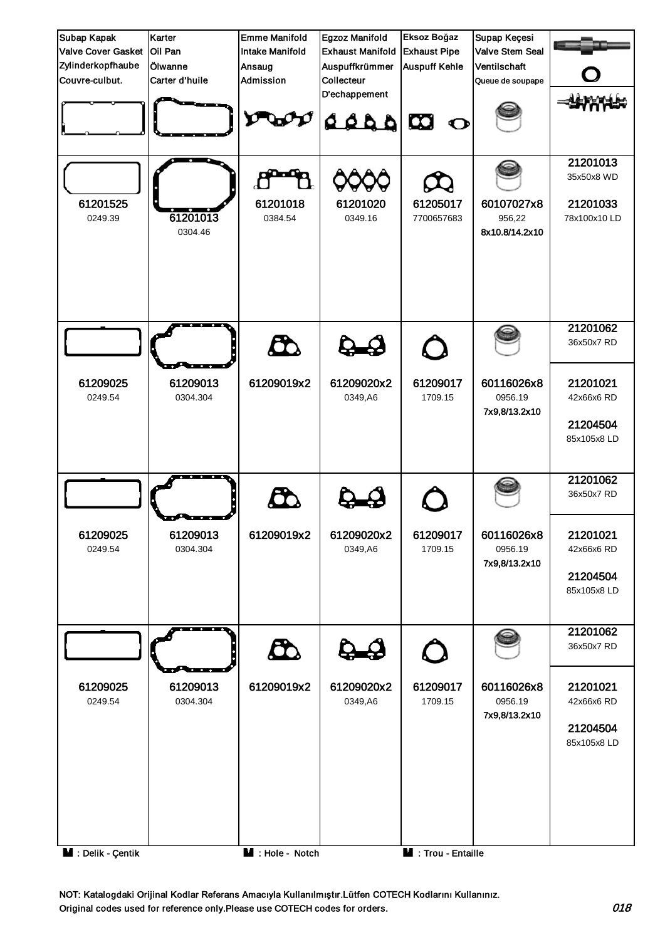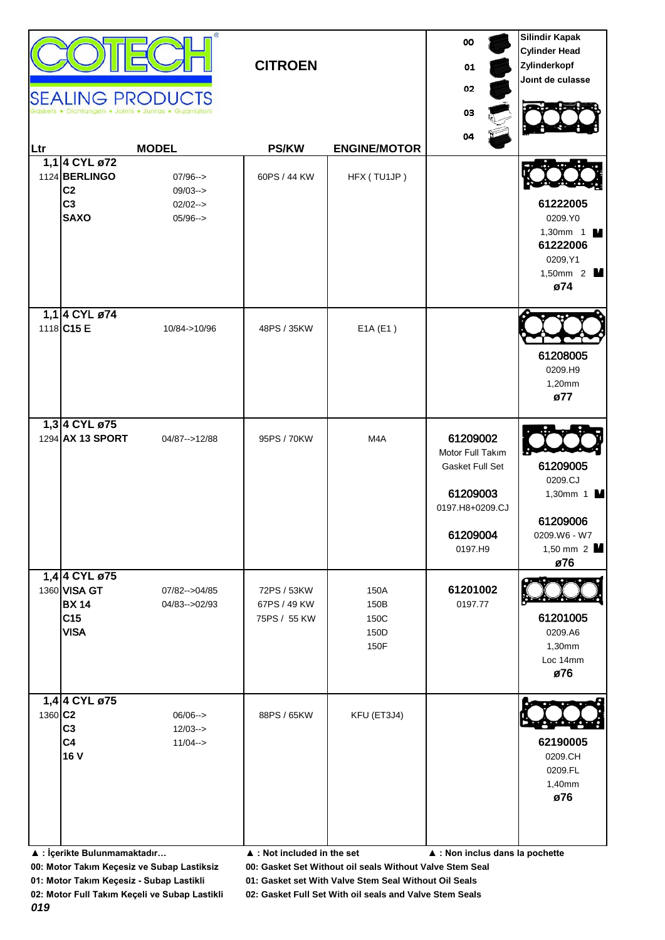| Ltr                 | 1,1 4 CYL ø72<br>1124 BERLINGO<br>C <sub>2</sub><br>C <sub>3</sub><br><b>SAXO</b> | <b>SEALING PRODUCTS</b><br><b>MODEL</b><br>$07/96-->$<br>$09/03 \rightarrow$<br>$02/02 \rightarrow$<br>$05/96 \rightarrow$ | <b>CITROEN</b><br><b>PS/KW</b><br>60PS / 44 KW | <b>ENGINE/MOTOR</b><br>HFX (TU1JP)   | 00<br>01<br>02<br>03<br>04                                                                            | <b>Silindir Kapak</b><br><b>Cylinder Head</b><br>Zylinderkopf<br>Joint de culasse<br>61222005<br>0209.YO<br>1,30mm $1$ M<br>61222006<br>0209, Y1<br>1,50mm 2 <b>M</b><br>ø74 |
|---------------------|-----------------------------------------------------------------------------------|----------------------------------------------------------------------------------------------------------------------------|------------------------------------------------|--------------------------------------|-------------------------------------------------------------------------------------------------------|------------------------------------------------------------------------------------------------------------------------------------------------------------------------------|
|                     | 1,1 4 CYL ø74<br>1118 C15 E                                                       | 10/84->10/96                                                                                                               | 48PS / 35KW                                    | E1A(E1)                              |                                                                                                       | 61208005<br>0209.H9<br>1,20mm<br>ø77                                                                                                                                         |
|                     | 1,3 4 CYL ø75<br>1294 AX 13 SPORT                                                 | 04/87 -- > 12/88                                                                                                           | 95PS / 70KW                                    | M4A                                  | 61209002<br>Motor Full Takım<br>Gasket Full Set<br>61209003<br>0197.H8+0209.CJ<br>61209004<br>0197.H9 | 61209005<br>0209.CJ<br>1,30mm 1 $\blacksquare$<br>61209006<br>0209.W6 - W7<br>1,50 mm 2<br>ø76                                                                               |
|                     | 1,4 4 CYL ø75<br>1360 VISA GT<br><b>BX 14</b><br>C <sub>15</sub><br><b>VISA</b>   | 07/82 -- > 04/85<br>04/83-->02/93                                                                                          | 72PS / 53KW<br>67PS / 49 KW<br>75PS / 55 KW    | 150A<br>150B<br>150C<br>150D<br>150F | 61201002<br>0197.77                                                                                   | 61201005<br>0209.A6<br>1,30mm<br>Loc 14mm<br>ø76                                                                                                                             |
| 1360 C <sub>2</sub> | 1,4 4 CYL ø75<br>C <sub>3</sub><br>C <sub>4</sub><br>16 V                         | $06/06--$<br>$12/03 - >$<br>$11/04 - >$                                                                                    | 88PS / 65KW                                    | KFU (ET3J4)                          |                                                                                                       | 62190005<br>0209.CH<br>0209.FL<br>1,40mm<br>ø76                                                                                                                              |

**▲ : İçerikte Bulunmamaktadır… ▲ : Not included in the set ▲ : Non inclus dans la pochette**

**00: Motor Takım Keçesiz ve Subap Lastiksiz 00: Gasket Set Without oil seals Without Valve Stem Seal**

**01: Motor Takım Keçesiz - Subap Lastikli 01: Gasket set With Valve Stem Seal Without Oil Seals**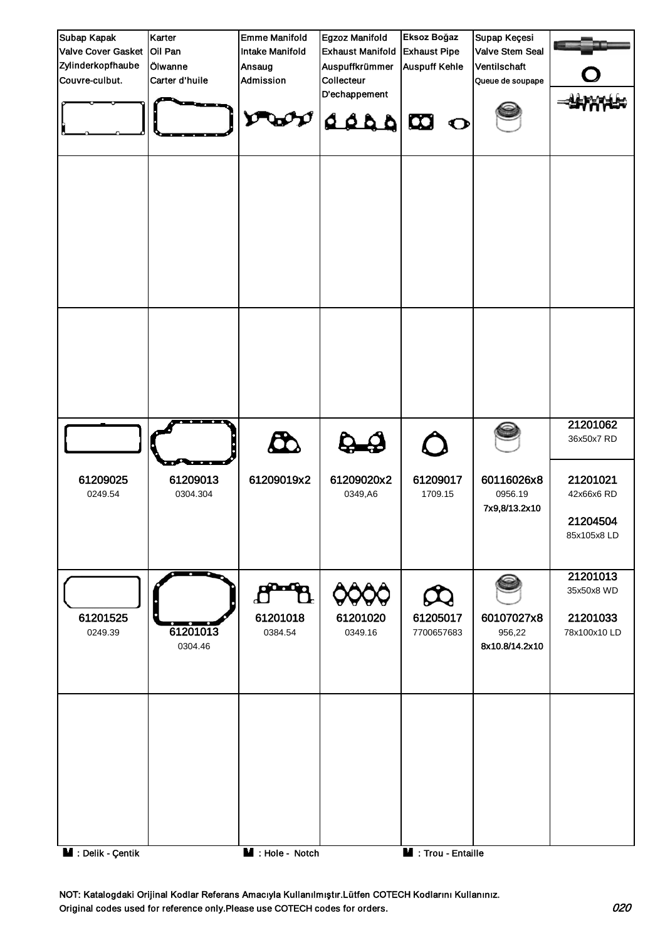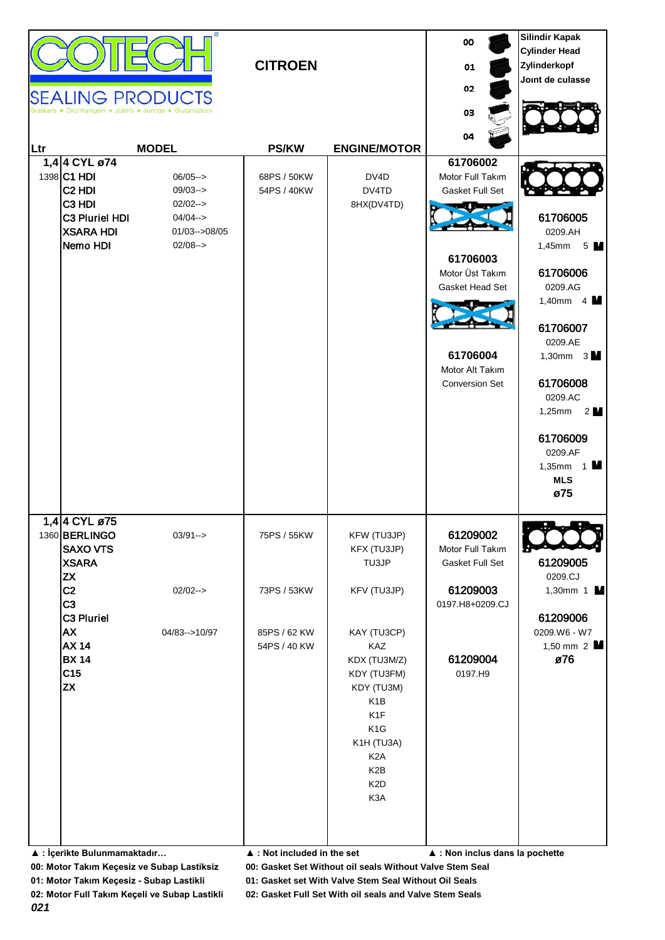| Ltr<br>1,4 4 CYL ø74<br>1398 C1 HDI<br>C <sub>2</sub> HDI<br>C <sub>3</sub> H <sub>DI</sub><br>C3 Pluriel HDI<br><b>XSARA HDI</b><br>Nemo HDI                                                                                                 | <b>SEALING PRODUCTS</b><br>tungen . Joints . Juntas . Guarnizion<br><b>MODEL</b><br>$06/05--$<br>$09/03--$<br>$02/02--$<br>$04/04 - >$<br>$01/03 - >08/05$<br>$02/08--$ | <b>CITROEN</b><br><b>PS/KW</b><br>68PS / 50KW<br>54PS / 40KW                                             | <b>ENGINE/MOTOR</b><br>DV4D<br>DV4TD<br>8HX(DV4TD)                                                                                                                                                                                                    | oo<br>01<br>02<br>03<br>04<br>61706002<br>Motor Full Takım<br>Gasket Full Set<br>61706003<br>Motor Üst Takım<br>Gasket Head Set<br>61706004<br>Motor Alt Takım<br><b>Conversion Set</b> | <b>Silindir Kapak</b><br><b>Cylinder Head</b><br>Zylinderkopf<br>Joint de culasse<br>61706005<br>0209.AH<br>1,45mm<br>5 M<br>61706006<br>0209.AG<br>1,40mm $4 \text{ M}$<br>61706007<br>0209.AE<br>1,30mm $3 \text{ M}$<br>61706008<br>0209.AC<br>1,25mm $2$ $\blacksquare$<br>61706009<br>0209.AF<br>1,35mm $1$ M<br><b>MLS</b><br>ø75 |
|-----------------------------------------------------------------------------------------------------------------------------------------------------------------------------------------------------------------------------------------------|-------------------------------------------------------------------------------------------------------------------------------------------------------------------------|----------------------------------------------------------------------------------------------------------|-------------------------------------------------------------------------------------------------------------------------------------------------------------------------------------------------------------------------------------------------------|-----------------------------------------------------------------------------------------------------------------------------------------------------------------------------------------|-----------------------------------------------------------------------------------------------------------------------------------------------------------------------------------------------------------------------------------------------------------------------------------------------------------------------------------------|
| 1,4 4 CYL ø75<br>1360 BERLINGO<br><b>SAXO VTS</b><br><b>XSARA</b><br><b>ZX</b><br>C <sub>2</sub><br>C <sub>3</sub><br>C3 Pluriel<br><b>AX</b><br><b>AX 14</b><br><b>BX 14</b><br>C <sub>15</sub><br><b>ZX</b><br>▲ : İçerikte Bulunmamaktadır | $03/91 - >$<br>$02/02--$<br>04/83-->10/97                                                                                                                               | 75PS / 55KW<br>73PS / 53KW<br>85PS / 62 KW<br>54PS / 40 KW<br>$\blacktriangle$ : Not included in the set | KFW (TU3JP)<br>KFX (TU3JP)<br>TU3JP<br>KFV (TU3JP)<br>KAY (TU3CP)<br>KAZ<br>KDX (TU3M/Z)<br>KDY (TU3FM)<br>KDY (TU3M)<br>K <sub>1</sub> B<br>K1F<br>K <sub>1</sub> G<br>K1H (TU3A)<br>K <sub>2</sub> A<br>K <sub>2</sub> B<br>K <sub>2</sub> D<br>K3A | 61209002<br>Motor Full Takım<br>Gasket Full Set<br>61209003<br>0197.H8+0209.CJ<br>61209004<br>0197.H9<br>▲ : Non inclus dans la pochette                                                | 61209005<br>0209.CJ<br>1,30mm 1 $\blacksquare$<br>61209006<br>0209.W6 - W7<br>1,50 mm $2 \mathbf{M}$<br>ø76                                                                                                                                                                                                                             |

**01: Motor Takım Keçesiz - Subap Lastikli 01: Gasket set With Valve Stem Seal Without Oil Seals**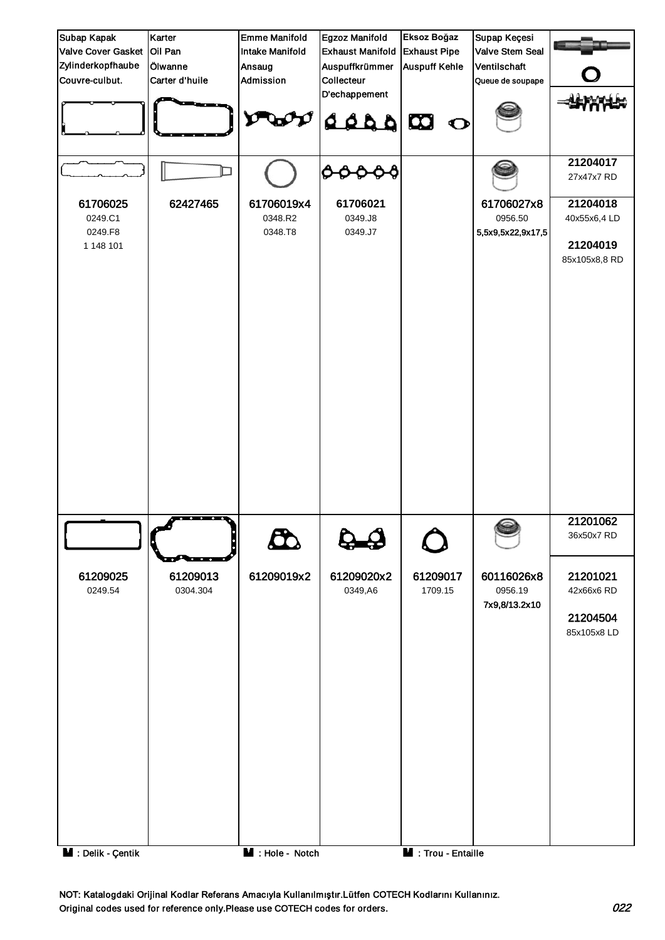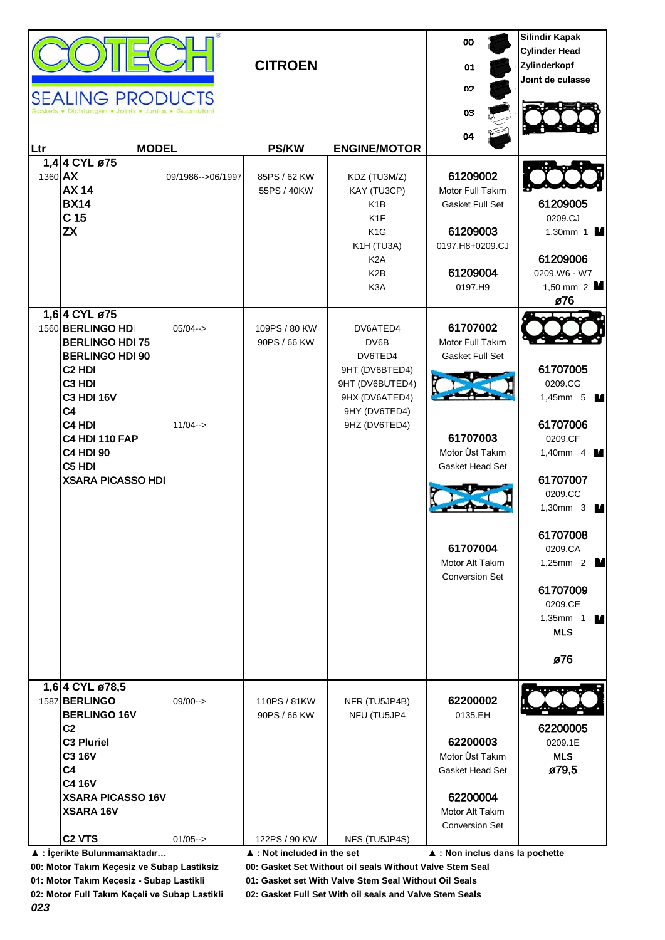| Ltr<br>1360 AX | <b>SEALING PRODUCTS</b><br><b>MODEL</b><br>1.4 4 CYL ø75<br><b>AX 14</b><br><b>BX14</b><br>C <sub>15</sub><br><b>ZX</b>                                                                                                                                                                                    | 09/1986-->06/1997          | <b>CITROEN</b><br><b>PS/KW</b><br>85PS / 62 KW<br>55PS / 40KW | <b>ENGINE/MOTOR</b><br>KDZ (TU3M/Z)<br>KAY (TU3CP)<br>K <sub>1</sub> B<br>K <sub>1</sub> F<br>K <sub>1</sub> G<br>K1H (TU3A)<br>K <sub>2</sub> A<br>K <sub>2</sub> B<br>K <sub>3</sub> A | 00<br>01<br>02<br>03<br>04<br>61209002<br>Motor Full Takım<br>Gasket Full Set<br>61209003<br>0197.H8+0209.CJ<br>61209004<br>0197.H9                       | <b>Silindir Kapak</b><br><b>Cylinder Head</b><br>Zylinderkopf<br>Joint de culasse<br>61209005<br>0209.CJ<br>1,30mm 1 $\blacksquare$<br>61209006<br>0209.W6 - W7<br>1,50 mm $2$ M<br>ø76                                                                            |
|----------------|------------------------------------------------------------------------------------------------------------------------------------------------------------------------------------------------------------------------------------------------------------------------------------------------------------|----------------------------|---------------------------------------------------------------|------------------------------------------------------------------------------------------------------------------------------------------------------------------------------------------|-----------------------------------------------------------------------------------------------------------------------------------------------------------|--------------------------------------------------------------------------------------------------------------------------------------------------------------------------------------------------------------------------------------------------------------------|
|                | 1,6 4 CYL ø75<br>1560 BERLINGO HDI<br><b>BERLINGO HDI 75</b><br><b>BERLINGO HDI 90</b><br>C <sub>2</sub> H <sub>DI</sub><br>C <sub>3</sub> H <sub>DI</sub><br><b>C3 HDI 16V</b><br>C4<br>C4 HDI<br><b>C4 HDI 110 FAP</b><br><b>C4 HDI 90</b><br>C <sub>5</sub> H <sub>DI</sub><br><b>XSARA PICASSO HDI</b> | $05/04 - >$<br>$11/04 - >$ | 109PS / 80 KW<br>90PS / 66 KW                                 | DV6ATED4<br>DV6B<br>DV6TED4<br>9HT (DV6BTED4)<br>9HT (DV6BUTED4)<br>9HX (DV6ATED4)<br>9HY (DV6TED4)<br>9HZ (DV6TED4)                                                                     | 61707002<br>Motor Full Takım<br>Gasket Full Set<br>61707003<br>Motor Üst Takım<br>Gasket Head Set<br>61707004<br>Motor Alt Takım<br><b>Conversion Set</b> | 61707005<br>0209.CG<br>1,45mm 5 $\blacksquare$<br>61707006<br>0209.CF<br>1,40mm $4$ $\blacksquare$<br>61707007<br>0209.CC<br>1,30mm 3 $\blacksquare$<br>61707008<br>0209.CA<br>1,25mm 2 $\blacksquare$<br>61707009<br>0209.CE<br>1,35mm $1$ M<br><b>MLS</b><br>ø76 |
|                | 1,6 4 CYL ø78,5<br>1587 BERLINGO<br><b>BERLINGO 16V</b><br>C <sub>2</sub><br><b>C3 Pluriel</b><br><b>C3 16V</b><br>C <sub>4</sub><br><b>C4 16V</b><br><b>XSARA PICASSO 16V</b><br><b>XSARA 16V</b>                                                                                                         | $09/00--$                  | 110PS / 81KW<br>90PS / 66 KW                                  | NFR (TU5JP4B)<br>NFU (TU5JP4                                                                                                                                                             | 62200002<br>0135.EH<br>62200003<br>Motor Üst Takım<br>Gasket Head Set<br>62200004<br>Motor Alt Takım<br><b>Conversion Set</b>                             | 62200005<br>0209.1E<br><b>MLS</b><br>ø79,5                                                                                                                                                                                                                         |
|                | C <sub>2</sub> VTS<br>▲ : İçerikte Bulunmamaktadır                                                                                                                                                                                                                                                         | $01/05--$                  | 122PS / 90 KW<br>▲ : Not included in the set                  | NFS (TU5JP4S)                                                                                                                                                                            | ▲ : Non inclus dans la pochette                                                                                                                           |                                                                                                                                                                                                                                                                    |

**01: Motor Takım Keçesiz - Subap Lastikli 01: Gasket set With Valve Stem Seal Without Oil Seals**

*023*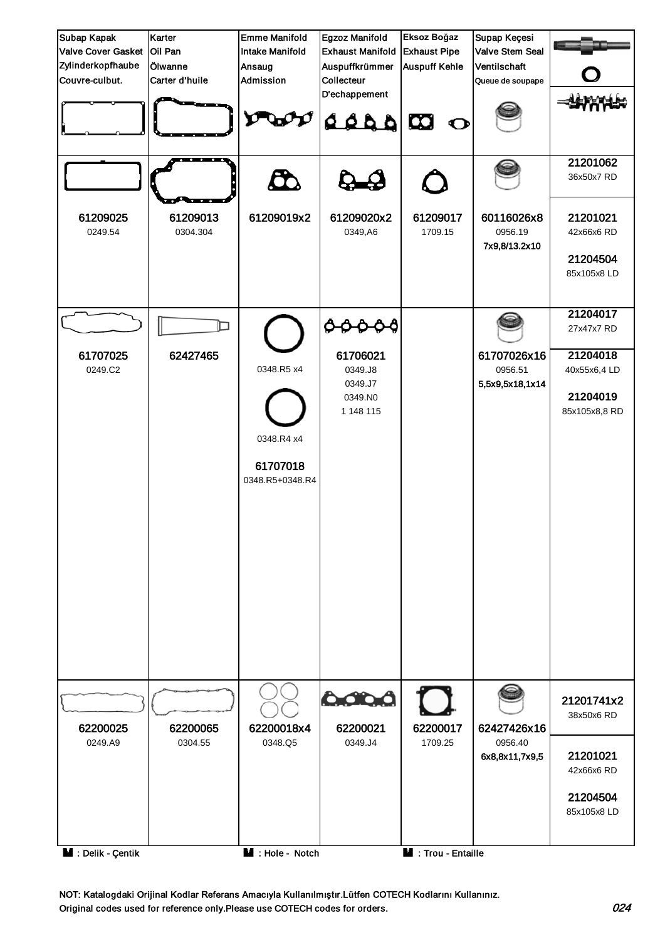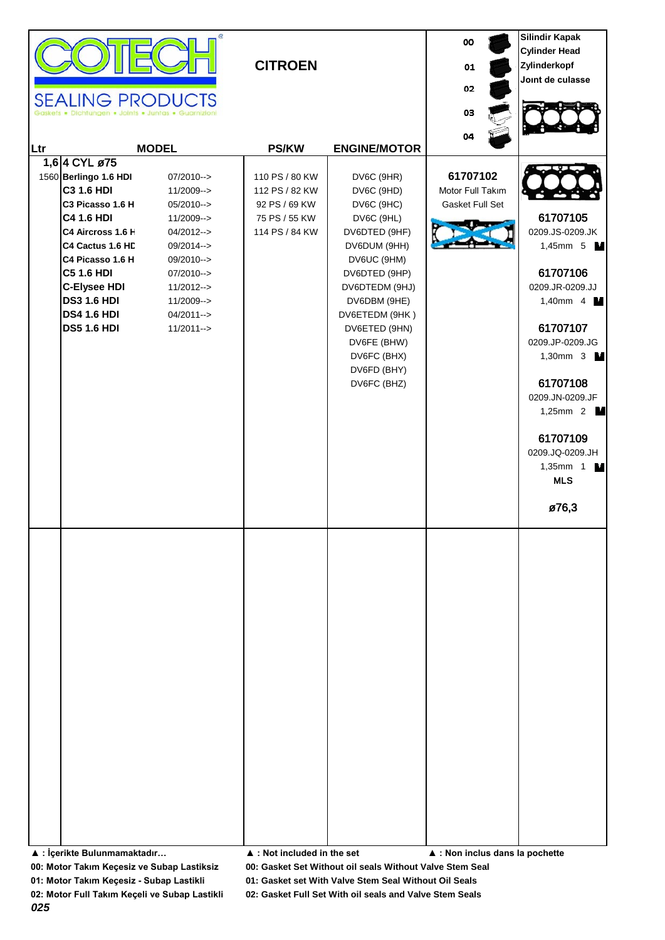| <b>SEALING PRODUCTS</b><br>Ltr<br>1,6 4 CYL ø75<br>1560 Berlingo 1.6 HDI<br><b>C3 1.6 HDI</b><br>C3 Picasso 1.6 H<br><b>C4 1.6 HDI</b><br>C4 Aircross 1.6 H<br>C4 Cactus 1.6 HD<br>C4 Picasso 1.6 H<br><b>C5 1.6 HDI</b><br><b>C-Elysee HDI</b><br><b>DS3 1.6 HDI</b><br><b>DS4 1.6 HDI</b><br><b>DS5 1.6 HDI</b> | • Dichtungen • Joints • Juntas • Guarnizio<br><b>MODEL</b><br>07/2010--><br>11/2009--><br>$05/2010--$<br>11/2009--><br>04/2012--><br>09/2014--><br>09/2010--><br>$07/2010--$<br>$11/2012--$<br>11/2009--><br>04/2011--><br>$11/2011--$ | <b>CITROEN</b><br><b>PS/KW</b><br>110 PS / 80 KW<br>112 PS / 82 KW<br>92 PS / 69 KW<br>75 PS / 55 KW<br>114 PS / 84 KW | <b>ENGINE/MOTOR</b><br>DV6C (9HR)<br>DV6C (9HD)<br>DV6C (9HC)<br>DV6C (9HL)<br>DV6DTED (9HF)<br>DV6DUM (9HH)<br>DV6UC (9HM)<br>DV6DTED (9HP)<br>DV6DTEDM (9HJ)<br>DV6DBM (9HE)<br>DV6ETEDM (9HK)<br>DV6ETED (9HN)<br>DV6FE (BHW)<br>DV6FC (BHX)<br>DV6FD (BHY)<br>DV6FC (BHZ) | 00<br>01<br>02<br>03<br>04<br>61707102<br>Motor Full Takım<br>Gasket Full Set | <b>Silindir Kapak</b><br><b>Cylinder Head</b><br>Zylinderkopf<br>Joint de culasse<br>61707105<br>0209.JS-0209.JK<br>1,45mm 5 M<br>61707106<br>0209.JR-0209.JJ<br>1,40mm $4 \blacksquare$<br>61707107<br>0209.JP-0209.JG<br>1,30mm 3 $\blacksquare$<br>61707108<br>0209.JN-0209.JF<br>1,25mm 2 $\blacksquare$<br>61707109<br>0209.JQ-0209.JH<br>1,35mm 1 $\blacksquare$ |
|-------------------------------------------------------------------------------------------------------------------------------------------------------------------------------------------------------------------------------------------------------------------------------------------------------------------|----------------------------------------------------------------------------------------------------------------------------------------------------------------------------------------------------------------------------------------|------------------------------------------------------------------------------------------------------------------------|-------------------------------------------------------------------------------------------------------------------------------------------------------------------------------------------------------------------------------------------------------------------------------|-------------------------------------------------------------------------------|------------------------------------------------------------------------------------------------------------------------------------------------------------------------------------------------------------------------------------------------------------------------------------------------------------------------------------------------------------------------|
|                                                                                                                                                                                                                                                                                                                   |                                                                                                                                                                                                                                        |                                                                                                                        |                                                                                                                                                                                                                                                                               |                                                                               | <b>MLS</b><br>ø76,3                                                                                                                                                                                                                                                                                                                                                    |

**▲ : İçerikte Bulunmamaktadır… ▲ : Not included in the set ▲ : Non inclus dans la pochette**

**00: Motor Takım Keçesiz ve Subap Lastiksiz 00: Gasket Set Without oil seals Without Valve Stem Seal**

**01: Motor Takım Keçesiz - Subap Lastikli 01: Gasket set With Valve Stem Seal Without Oil Seals**

*025*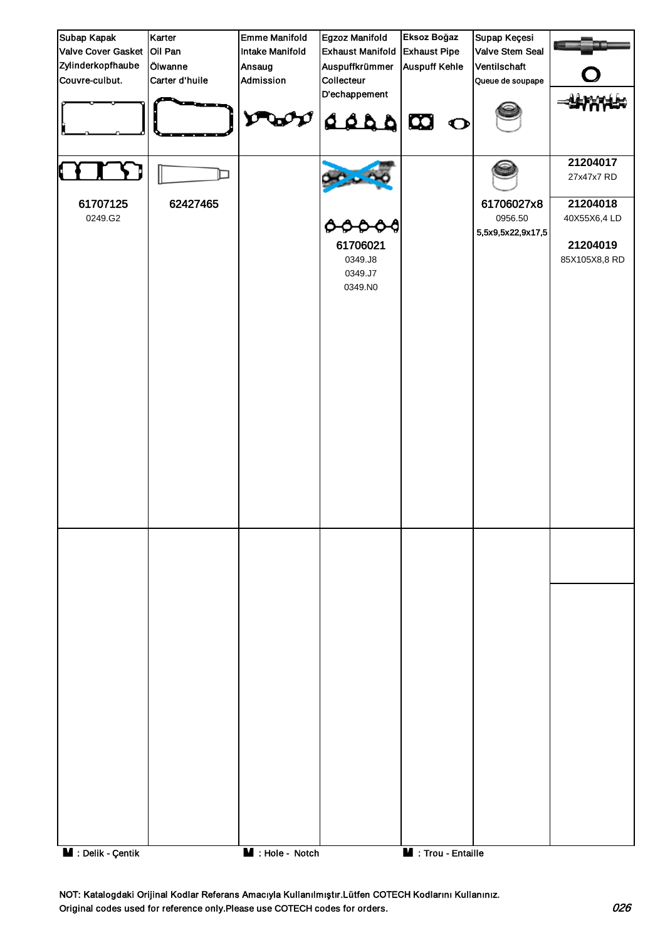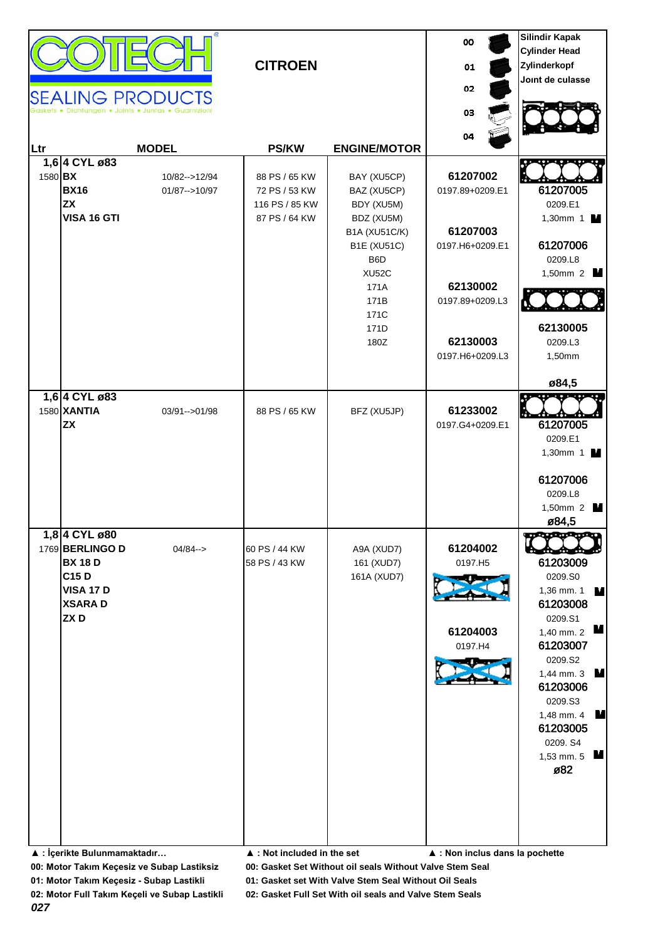| <b>SEALING PRODUCTS</b><br>lungen . Joints . Juntas . Guarnizioni<br>03<br>04<br><b>MODEL</b><br><b>PS/KW</b><br><b>ENGINE/MOTOR</b><br>Ltr<br>1,6 4 CYL ø83<br>61207002<br>1580 BX<br>10/82-->12/94<br>88 PS / 65 KW<br>BAY (XU5CP)<br><b>BX16</b><br>0197.89+0209.E1<br>$01/87 - > 10/97$<br>72 PS / 53 KW<br>BAZ (XU5CP)<br><b>ZX</b><br>0209.E1<br>116 PS / 85 KW<br>BDY (XU5M)                                               |             | <b>CITROEN</b> |            | 00<br>01<br>02 | <b>Silindir Kapak</b><br><b>Cylinder Head</b><br>Zylinderkopf<br>Joint de culasse                                                                                       |
|-----------------------------------------------------------------------------------------------------------------------------------------------------------------------------------------------------------------------------------------------------------------------------------------------------------------------------------------------------------------------------------------------------------------------------------|-------------|----------------|------------|----------------|-------------------------------------------------------------------------------------------------------------------------------------------------------------------------|
|                                                                                                                                                                                                                                                                                                                                                                                                                                   |             |                |            |                |                                                                                                                                                                         |
| 61207003<br><b>B1A (XU51C/K)</b><br><b>B1E (XU51C)</b><br>0197.H6+0209.E1<br>B6D<br>0209.L8<br>XU52C<br>62130002<br>171A<br>171B<br>0197.89+0209.L3<br>171C<br>171D<br>62130003<br>180Z<br>0209.L3<br>0197.H6+0209.L3<br>1,50mm<br>ø84,5                                                                                                                                                                                          | VISA 16 GTI | 87 PS / 64 KW  | BDZ (XU5M) |                | 61207005<br>1,30mm 1 M<br>61207006<br>1,50mm 2 $\blacksquare$<br>62130005                                                                                               |
| 1,6 4 CYL ø83<br>1580 XANTIA<br>61233002<br>03/91-->01/98<br>88 PS / 65 KW<br>BFZ (XU5JP)<br><b>ZX</b><br>0197.G4+0209.E1<br>0209.E1<br>0209.L8<br>ø84,5                                                                                                                                                                                                                                                                          |             |                |            |                | 61207005<br>1,30mm 1 $\blacksquare$<br>61207006<br>1,50mm 2 $\blacksquare$                                                                                              |
| 1,8 4 CYL ø 80<br>1769 BERLINGO D<br>61204002<br>$04/84 ->$<br>60 PS / 44 KW<br>A9A (XUD7)<br><b>BX 18 D</b><br>58 PS / 43 KW<br>161 (XUD7)<br>0197.H5<br>C15 D<br>0209.S0<br>161A (XUD7)<br><b>VISA 17 D</b><br><b>XSARAD</b><br>ZXD<br>0209.S1<br>61204003<br>0197.H4<br>0209.S2<br>0209.S3<br>0209. S4<br>ø82<br>▲ : İçerikte Bulunmamaktadır<br>$\blacktriangle$ : Not included in the set<br>▲ : Non inclus dans la pochette |             |                |            |                | 61203009<br>1,36 mm. 1<br>M<br>61203008<br>М<br>1,40 mm. 2<br>61203007<br>1,44 mm. 3 $\blacksquare$<br>61203006<br>1,48 mm. 4<br>$\mathbf{M}$<br>61203005<br>1,53 mm. 5 |

**01: Motor Takım Keçesiz - Subap Lastikli 01: Gasket set With Valve Stem Seal Without Oil Seals**

**02: Motor Full Takım Keçeli ve Subap Lastikli 02: Gasket Full Set With oil seals and Valve Stem Seals**

*027*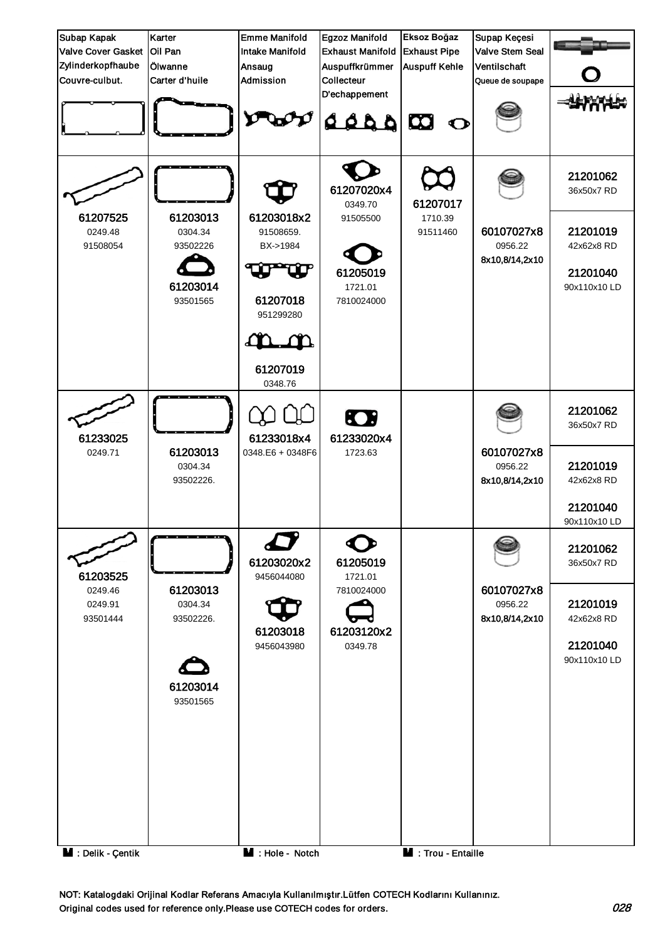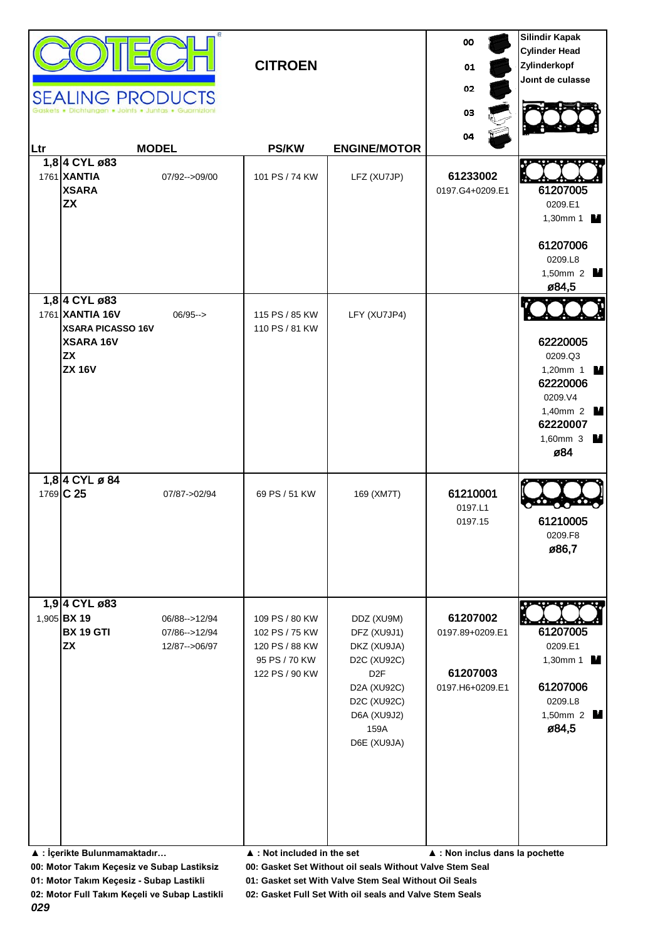| Ltr | <b>SEALING PRODUCTS</b><br>Dichtungen . Joints . Juntas . Guarn<br>1,8 4 CYL ø83<br>1761 XANTIA<br><b>XSARA</b><br><b>ZX</b> | <b>MODEL</b><br>07/92-->09/00                      | <b>CITROEN</b><br><b>PS/KW</b><br>101 PS / 74 KW                                                                                    | <b>ENGINE/MOTOR</b><br>LFZ (XU7JP)                                                                                                                     | 00<br>01<br>02<br>03<br>04<br>61233002<br>0197.G4+0209.E1                                     | <b>Silindir Kapak</b><br><b>Cylinder Head</b><br>Zylinderkopf<br>Joint de culasse<br>61207005<br>0209.E1<br>1,30mm 1 $\blacksquare$<br>61207006<br>0209.L8<br>1,50mm 2 $\blacksquare$ |
|-----|------------------------------------------------------------------------------------------------------------------------------|----------------------------------------------------|-------------------------------------------------------------------------------------------------------------------------------------|--------------------------------------------------------------------------------------------------------------------------------------------------------|-----------------------------------------------------------------------------------------------|---------------------------------------------------------------------------------------------------------------------------------------------------------------------------------------|
|     | 1,8 4 CYL ø83<br>1761 XANTIA 16V<br><b>XSARA PICASSO 16V</b><br><b>XSARA 16V</b><br><b>ZX</b><br><b>ZX 16V</b>               | $06/95 - >$                                        | 115 PS / 85 KW<br>110 PS / 81 KW                                                                                                    | LFY (XU7JP4)                                                                                                                                           |                                                                                               | ø84,5<br>62220005<br>0209.Q3<br>1,20mm 1 $\blacksquare$<br>62220006<br>0209.V4<br>1,40mm 2 <b>M</b><br>62220007<br>1,60mm 3 $\blacksquare$<br>ø84                                     |
|     | 1,8 4 CYL ø 84<br>1769 C 25                                                                                                  | 07/87->02/94                                       | 69 PS / 51 KW                                                                                                                       | 169 (XM7T)                                                                                                                                             | 61210001<br>0197.L1<br>0197.15                                                                | 61210005<br>0209.F8<br>ø86,7                                                                                                                                                          |
|     | 1,9 4 CYL ø83<br>1,905 BX 19<br><b>BX 19 GTI</b><br><b>ZX</b><br>▲ : İçerikte Bulunmamaktadır                                | 06/88 -- > 12/94<br>07/86-->12/94<br>12/87-->06/97 | 109 PS / 80 KW<br>102 PS / 75 KW<br>120 PS / 88 KW<br>95 PS / 70 KW<br>122 PS / 90 KW<br>$\blacktriangle$ : Not included in the set | DDZ (XU9M)<br>DFZ (XU9J1)<br>DKZ (XU9JA)<br>D2C (XU92C)<br>D <sub>2</sub> F<br><b>D2A (XU92C)</b><br>D2C (XU92C)<br>D6A (XU9J2)<br>159A<br>D6E (XU9JA) | 61207002<br>0197.89+0209.E1<br>61207003<br>0197.H6+0209.E1<br>▲ : Non inclus dans la pochette | 61207005<br>0209.E1<br>1,30mm 1<br>61207006<br>0209.L8<br>1,50mm 2 $\blacksquare$<br>ø84,5                                                                                            |

**01: Motor Takım Keçesiz - Subap Lastikli 01: Gasket set With Valve Stem Seal Without Oil Seals**

*029*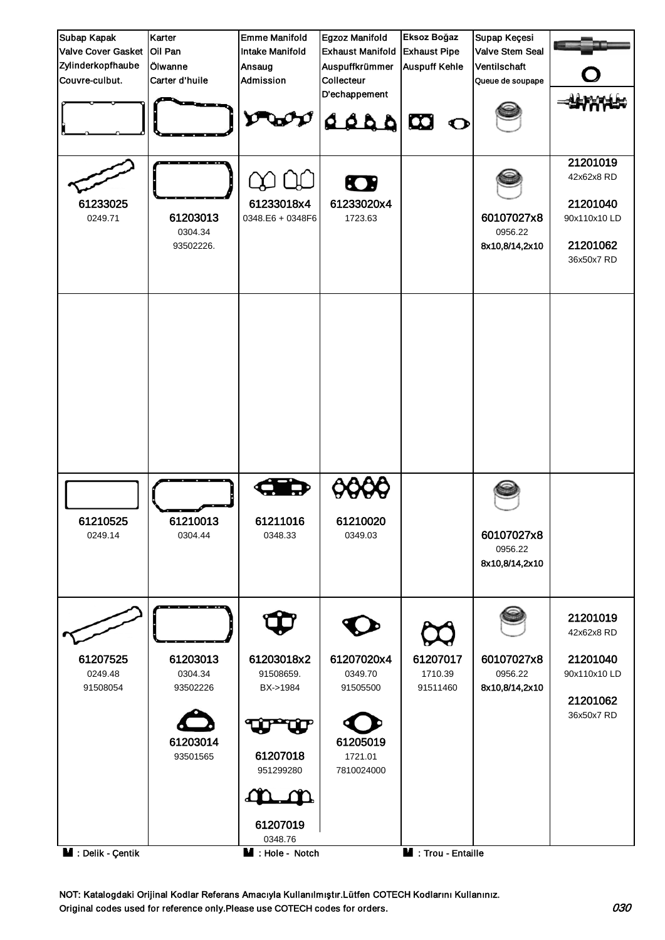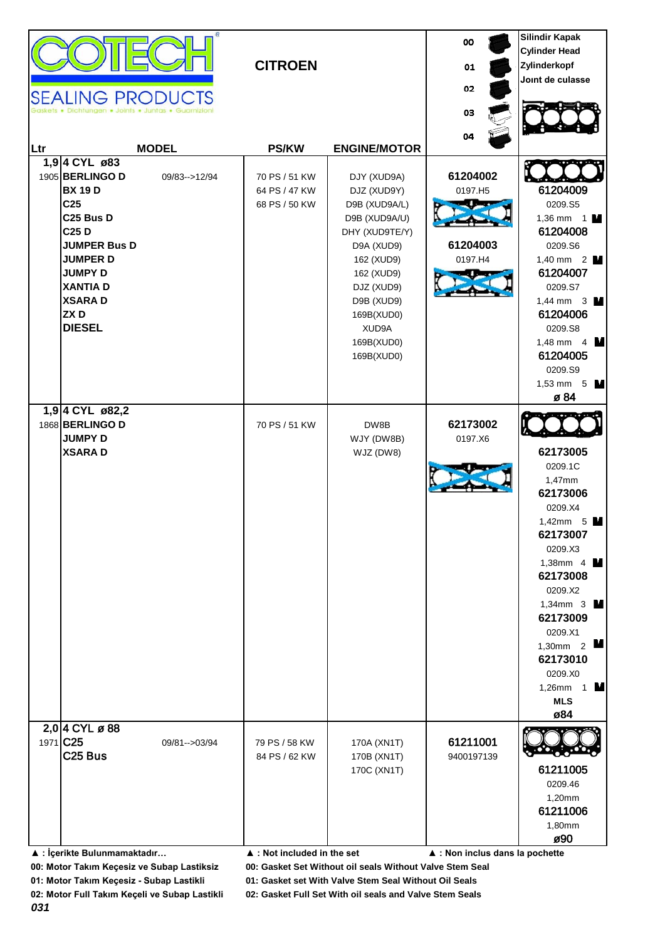| <b>SEALING PRODUCTS</b>                                                                                                                                                                                                                                                    | <b>CITROEN</b>                                  |                                                                                                                                                                                                         | 00<br>01<br>02<br>03                       | <b>Silindir Kapak</b><br><b>Cylinder Head</b><br>Zylinderkopf<br>Joint de culasse                                                                                                                                                                                                  |
|----------------------------------------------------------------------------------------------------------------------------------------------------------------------------------------------------------------------------------------------------------------------------|-------------------------------------------------|---------------------------------------------------------------------------------------------------------------------------------------------------------------------------------------------------------|--------------------------------------------|------------------------------------------------------------------------------------------------------------------------------------------------------------------------------------------------------------------------------------------------------------------------------------|
| <b>MODEL</b><br>Ltr                                                                                                                                                                                                                                                        | <b>PS/KW</b>                                    | <b>ENGINE/MOTOR</b>                                                                                                                                                                                     | 04                                         |                                                                                                                                                                                                                                                                                    |
| 1,9 4 CYL ø83<br>1905 BERLINGO D<br>09/83 -- > 12/94<br><b>BX 19 D</b><br>C <sub>25</sub><br>C <sub>25</sub> Bus D<br>C <sub>25</sub> D<br><b>JUMPER Bus D</b><br><b>JUMPER D</b><br><b>JUMPY D</b><br><b>XANTIAD</b><br><b>XSARAD</b><br>ZX <sub>D</sub><br><b>DIESEL</b> | 70 PS / 51 KW<br>64 PS / 47 KW<br>68 PS / 50 KW | DJY (XUD9A)<br>DJZ (XUD9Y)<br>D9B (XUD9A/L)<br>D9B (XUD9A/U)<br>DHY (XUD9TE/Y)<br>D9A (XUD9)<br>162 (XUD9)<br>162 (XUD9)<br>DJZ (XUD9)<br>D9B (XUD9)<br>169B(XUD0)<br>XUD9A<br>169B(XUD0)<br>169B(XUD0) | 61204002<br>0197.H5<br>61204003<br>0197.H4 | 61204009<br>0209.S5<br>1,36 mm $1$ M<br>61204008<br>0209.S6<br>1,40 mm $2$ <b>M</b><br>61204007<br>0209.S7<br>1,44 mm $3 \text{ M}$<br>61204006<br>0209.S8<br>1,48 mm $4 \text{ M}$<br>61204005<br>0209.S9<br>1,53 mm $5 \text{ M}$<br>ø 84                                        |
| 1,9 4 CYL ø82,2<br>1868 BERLINGO D<br><b>JUMPY D</b><br><b>XSARAD</b><br>2,0 4 CYL ø 88                                                                                                                                                                                    | 70 PS / 51 KW                                   | DW8B<br>WJY (DW8B)<br>WJZ (DW8)                                                                                                                                                                         | 62173002<br>0197.X6                        | 62173005<br>0209.1C<br>1,47mm<br>62173006<br>0209.X4<br>1,42mm $5$ $\blacksquare$<br>62173007<br>0209.X3<br>1,38mm 4 $\blacksquare$<br>62173008<br>0209.X2<br>1,34mm 3<br>62173009<br>0209.X1<br>1,30mm $2$ $\blacksquare$<br>62173010<br>0209.X0<br>1,26mm 1<br><b>MLS</b><br>ø84 |
| 1971 C25<br>09/81 -- > 03/94<br>C <sub>25</sub> Bus                                                                                                                                                                                                                        | 79 PS / 58 KW<br>84 PS / 62 KW                  | 170A (XN1T)<br>170B (XN1T)<br>170C (XN1T)                                                                                                                                                               | 61211001<br>9400197139                     | 61211005<br>0209.46<br>1,20mm<br>61211006<br>1,80mm<br>ø90                                                                                                                                                                                                                         |
| ▲ : İçerikte Bulunmamaktadır                                                                                                                                                                                                                                               | $\blacktriangle$ : Not included in the set      |                                                                                                                                                                                                         | ▲ : Non inclus dans la pochette            |                                                                                                                                                                                                                                                                                    |

**01: Motor Takım Keçesiz - Subap Lastikli 01: Gasket set With Valve Stem Seal Without Oil Seals**

**02: Motor Full Takım Keçeli ve Subap Lastikli 02: Gasket Full Set With oil seals and Valve Stem Seals**

*031*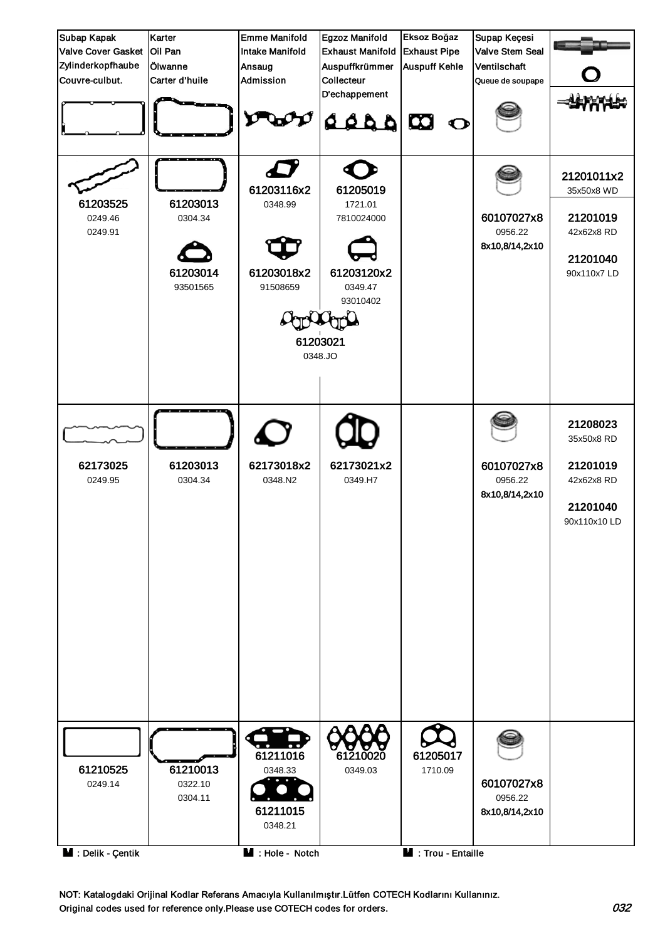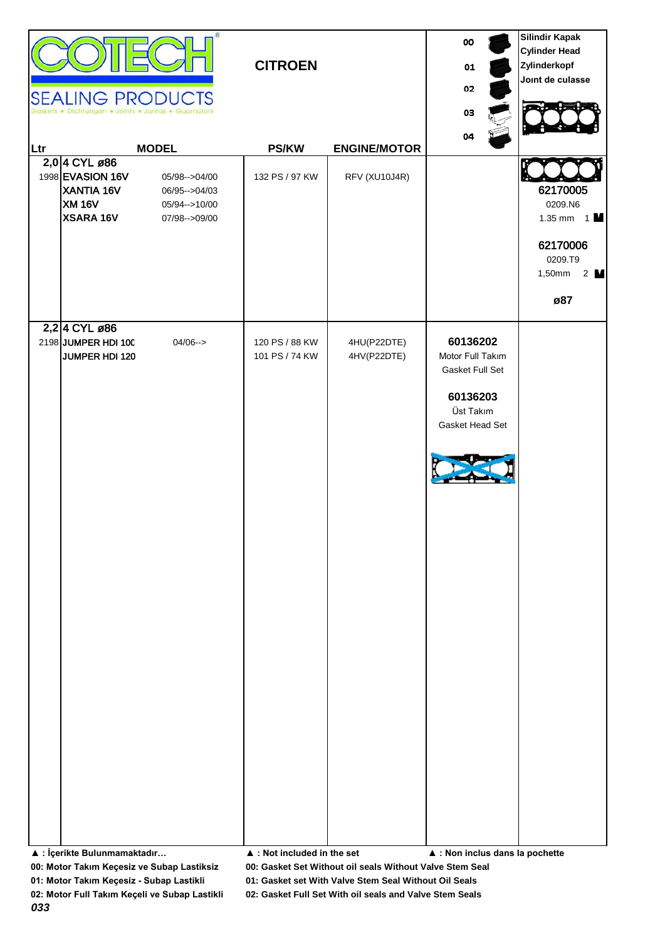| Ltr | <b>SEALING PRODUCTS</b><br>Dichtungen . Joints . Juntas . Guarnizioni<br>2,0 4 CYL ø86<br>1998 EVASION 16V<br><b>XANTIA 16V</b><br><b>XM 16V</b><br>XSARA 16V | <b>MODEL</b><br>05/98-->04/00<br>06/95 -- > 04/03<br>05/94 -- > 10/00<br>07/98-->09/00 | <b>CITROEN</b><br><b>PS/KW</b><br>132 PS / 97 KW                | <b>ENGINE/MOTOR</b><br>RFV (XU10J4R) | 00<br>01<br>02<br>03<br>04                                                                                                     | <b>Silindir Kapak</b><br><b>Cylinder Head</b><br>Zylinderkopf<br>Joint de culasse<br>62170005<br>0209.N6<br>1.35 mm $1$ M<br>62170006<br>0209.T9<br>1,50mm<br>$2 \mathbf{M}$<br>ø87 |
|-----|---------------------------------------------------------------------------------------------------------------------------------------------------------------|----------------------------------------------------------------------------------------|-----------------------------------------------------------------|--------------------------------------|--------------------------------------------------------------------------------------------------------------------------------|-------------------------------------------------------------------------------------------------------------------------------------------------------------------------------------|
|     | 2,2 4 CYL ø86<br>2198 JUMPER HDI 100<br>JUMPER HDI 120<br>▲ : İçerikte Bulunmamaktadır                                                                        | $04/06 - >$                                                                            | 120 PS / 88 KW<br>101 PS / 74 KW<br>▲ : Not included in the set | 4HU(P22DTE)<br>4HV(P22DTE)           | 60136202<br>Motor Full Takım<br>Gasket Full Set<br>60136203<br>Üst Takım<br>Gasket Head Set<br>▲ : Non inclus dans la pochette |                                                                                                                                                                                     |

**01: Motor Takım Keçesiz - Subap Lastikli 01: Gasket set With Valve Stem Seal Without Oil Seals**

*033*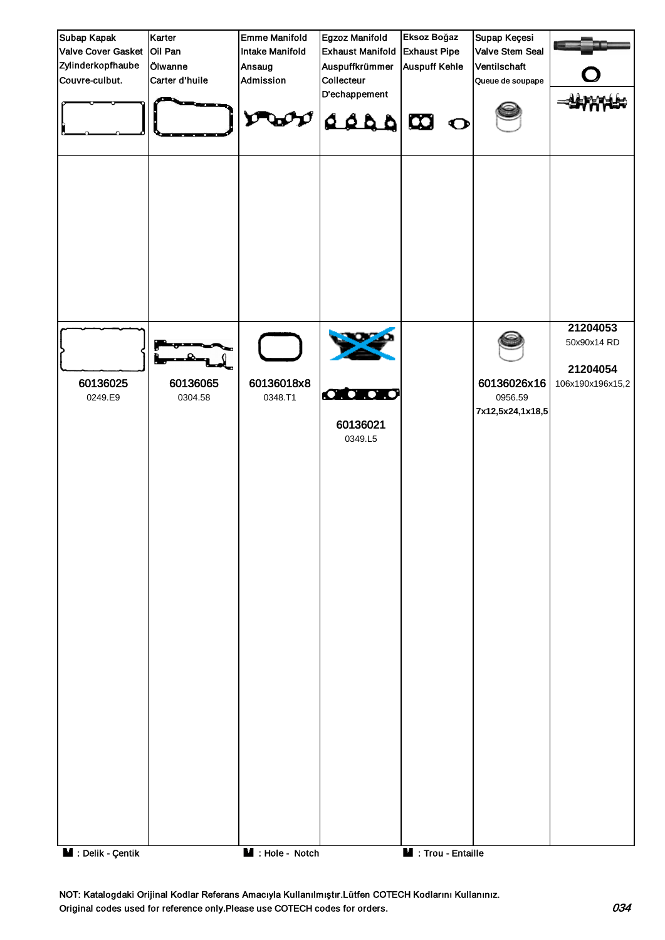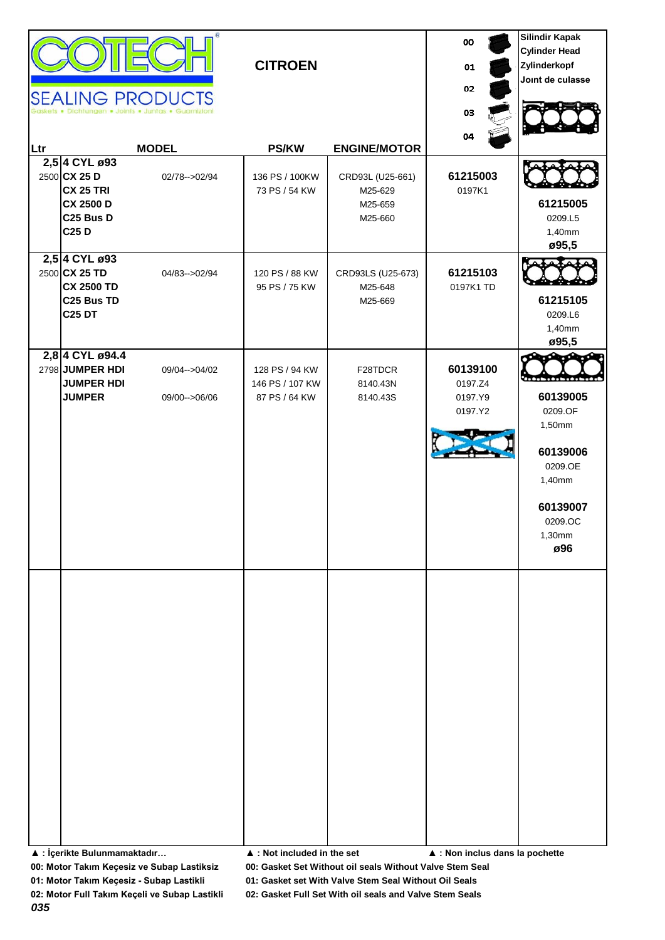|     |                                                                                                                     | <b>SEALING PRODUCTS</b><br>Dichtungen . Joints . Juntas . Guarnizion | <b>CITROEN</b>                                     |                                                   | 00<br>01<br>02<br>03                      | <b>Silindir Kapak</b><br><b>Cylinder Head</b><br>Zylinderkopf<br>Joint de culasse                                    |
|-----|---------------------------------------------------------------------------------------------------------------------|----------------------------------------------------------------------|----------------------------------------------------|---------------------------------------------------|-------------------------------------------|----------------------------------------------------------------------------------------------------------------------|
| Ltr |                                                                                                                     | <b>MODEL</b>                                                         | <b>PS/KW</b>                                       | <b>ENGINE/MOTOR</b>                               | 04                                        |                                                                                                                      |
|     | 2,5 4 CYL ø93<br>2500 CX 25 D<br><b>CX 25 TRI</b><br><b>CX 2500 D</b><br>C <sub>25</sub> Bus D<br>C <sub>25</sub> D | 02/78-->02/94                                                        | 136 PS / 100KW<br>73 PS / 54 KW                    | CRD93L (U25-661)<br>M25-629<br>M25-659<br>M25-660 | 61215003<br>0197K1                        | 61215005<br>0209.L5<br>1,40mm<br>ø95,5                                                                               |
|     | 2,5 4 CYL ø93<br>2500 CX 25 TD<br><b>CX 2500 TD</b><br>C <sub>25</sub> Bus TD<br><b>C25 DT</b>                      | 04/83-->02/94                                                        | 120 PS / 88 KW<br>95 PS / 75 KW                    | CRD93LS (U25-673)<br>M25-648<br>M25-669           | 61215103<br>0197K1 TD                     | 61215105<br>0209.L6<br>1,40mm<br>ø95,5                                                                               |
|     | 2,8 4 CYL ø94.4<br>2798 JUMPER HDI<br><b>JUMPER HDI</b><br><b>JUMPER</b>                                            | 09/04-->04/02<br>09/00-->06/06                                       | 128 PS / 94 KW<br>146 PS / 107 KW<br>87 PS / 64 KW | F28TDCR<br>8140.43N<br>8140.43S                   | 60139100<br>0197.Z4<br>0197.Y9<br>0197.Y2 | . <b>.</b><br>60139005<br>0209.OF<br>1,50mm<br>60139006<br>0209.OE<br>1,40mm<br>60139007<br>0209.OC<br>1,30mm<br>ø96 |
|     | ▲ : İçerikte Bulunmamaktadır                                                                                        |                                                                      | ▲ : Not included in the set                        |                                                   | ▲ : Non inclus dans la pochette           |                                                                                                                      |

**01: Motor Takım Keçesiz - Subap Lastikli 01: Gasket set With Valve Stem Seal Without Oil Seals**

*035*